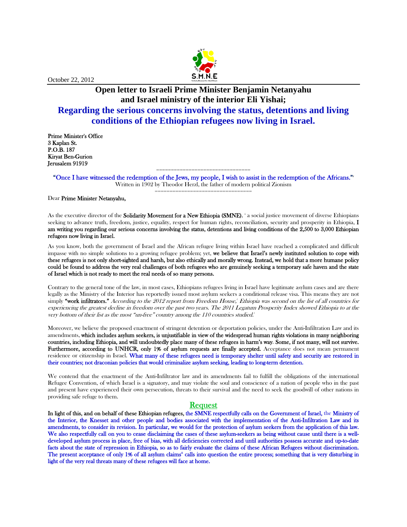

October 22, 2012

# **Open letter to Israeli Prime Minister Benjamin Netanyahu and Israel ministry of the interior Eli Yishai; Regarding the serious concerns involving the status, detentions and living conditions of the Ethiopian refugees now living in Israel.**

Prime Minister's Office 3 Kaplan St. P.O.B. 187 Kiryat Ben-Gurion Jerusalem 91919

> ================================ "Once I have witnessed the redemption of the Jews, my people, I wish to assist in the redemption of the Africans."<sup>i</sup> Written in 1902 by Theodor Herzl, the father of modern political Zionism =================================

Dear Prime Minister Netanyahu,

As the executive director of the **Solidarity Movement for a New Ethiopia (SMNE)**, a social justice movement of diverse Ethiopians seeking to advance truth, freedom, justice, equality, respect for human rights, reconciliation, security and prosperity in Ethiopia, I am writing you regarding our serious concerns involving the status, detentions and living conditions of the 2,500 to 3,000 Ethiopian refugees now living in Israel.

As you know, both the government of Israel and the African refugee living within Israel have reached a complicated and difficult impasse with no simple solutions to a growing refugee problem; yet, we believe that Israel's newly instituted solution to cope with these refugees is not only short-sighted and harsh, but also ethically and morally wrong. Instead, we hold that a more humane policy could be found to address the very real challenges of both refugees who are genuinely seeking a temporary safe haven and the state of Israel which is not ready to meet the real needs of so many persons.

Contrary to the general tone of the law, in most cases, Ethiopians refugees living in Israel have legitimate asylum cases and are there legally as the Ministry of the Interior has reportedly issued most asylum seekers a conditional release visa. This means they are not simply **"work infiltrators."** According to the 2012 report from Freedom House,' Ethiopia was second on the list of all countries for experiencing the greatest decline in freedom over the past two years. The 2011 Legatum Prosperity Index showed Ethiopia to at the very bottom of their list as the most "un-free" country among the  $110$  countries studied.<sup>1</sup>

Moreover, we believe the proposed enactment of stringent detention or deportation policies, under the Anti-Infiltration Law and its amendments, which includes asylum seekers, is unjustifiable in view of the widespread human rights violations in many neighboring countries, including Ethiopia, and will undoubtedly place many of these refugees in harm's way. Some, if not many, will not survive. Furthermore, according to UNHCR, only 1% of asylum requests are finally accepted. Acceptance does not mean permanent residence or citizenship in Israel. What many of these refugees need is temporary shelter until safety and security are restored in their countries; not draconian policies that would criminalize asylum seeking, leading to long-term detention.

We contend that the enactment of the Anti-Infiltrator law and its amendments fail to fulfill the obligations of the international Refugee Convention, of which Israel is a signatory, and may violate the soul and conscience of a nation of people who in the past and present have experienced their own persecution, threats to their survival and the need to seek the goodwill of other nations in providing safe refuge to them.

### Request

In light of this, and on behalf of these Ethiopian refugees, the SMNE respectfully calls on the Government of Israel, the Ministry of the Interior, the Knesset and other people and bodies associated with the implementation of the Anti-Infiltration Law and its amendments, to consider its revision. In particular, we would for the protection of asylum seekers from the application of this law. We also respectfully call on you to cease disclaiming the cases of these asylum-seekers as being without cause until there is a welldeveloped asylum process in place, free of bias, with all deficiencies corrected and until authorities possess accurate and up-to-date facts about the state of repression in Ethiopia, so as to fairly evaluate the claims of these African Refugees without discrimination. The present acceptance of only 1% of all asylum claims<sup>"</sup> calls into question the entire process; something that is very disturbing in light of the very real threats many of these refugees will face at home.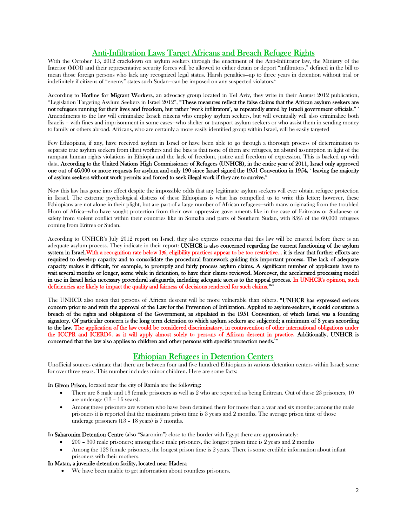# Anti-Infiltration Laws Target Africans and Breach Refugee Rights

With the October 15, 2012 crackdown on asylum seekers through the enactment of the Anti-Infiltrator law, the Ministry of the Interior (MOI) and their representative security forces will be allowed to either detain or deport "infiltrators," defined in the bill to mean those foreign persons who lack any recognized legal status. Harsh penalties—up to three years in detention without trial or indefinitely if citizens of "enemy" states such Sudan—can be imposed on any suspected violators."

According to Hotline for Migrant Workers, an advocacy group located in Tel Aviv, they write in their August 2012 publication, "Legislation Targeting Asylum Seekers in Israel  $2012$ ", "These measures reflect the false claims that the African asylum seekers are not refugees running for their lives and freedom, but rather 'work infiltrators', as repeatedly stated by Israeli government officials." v Amendments to the law will criminalize Israeli citizens who employ asylum seekers, but will eventually will also criminalize both Israelis – with fines and imprisonment in some cases—who shelter or transport asylum seekers or who assist them in sending money to family or others abroad. Africans, who are certainly a more easily identified group within Israel, will be easily targeted

Few Ethiopians, if any, have received asylum in Israel or have been able to go through a thorough process of determination to separate true asylum seekers from illicit workers and the bias is that none of them are refugees, an absurd assumption in light of the rampant human rights violations in Ethiopia and the lack of freedom, justice and freedom of expression. This is backed up with data. According to the United Nations High Commissioner of Refugees (UNHCR), in the entire year of 2011, Israel only approved one out of 46,000 or more requests for asylum and only 190 since Israel signed the 1951 Convention in 1954,  $*$  leaving the majority of asylum seekers without work permits and forced to seek illegal work if they are to survive. $\check{\;}$ 

Now this law has gone into effect despite the impossible odds that any legitimate asylum seekers will ever obtain refugee protection in Israel. The extreme psychological distress of these Ethiopians is what has compelled us to write this letter; however, these Ethiopians are not alone in their plight, but are part of a large number of African refugees—with many originating from the troubled Horn of Africa—who have sought protection from their own oppressive governments like in the case of Eritreans or Sudanese or safety from violent conflict within their countries like in Somalia and parts of Southern Sudan, with 85% of the 60,000 refugees coming from Eritrea or Sudan.

According to UNHCR's July 2012 report on Israel, they also express concerns that this law will be enacted before there is an adequate asylum process. They indicate in their report: UNHCR is also concerned regarding the current functioning of the asylum system in Israel. With a recognition rate below 1%, eligibility practices appear to be too restrictive... it is clear that further efforts are required to develop capacity and to consolidate the procedural framework guiding this important process. The lack of adequate capacity makes it difficult, for example, to promptly and fairly process asylum claims. A significant number of applicants have to wait several months or longer, some while in detention, to have their claims reviewed. Moreover, the accelerated processing model in use in Israel lacks necessary procedural safeguards, including adequate access to the appeal process. In UNHCR's opinion, such deficiencies are likely to impact the quality and fairness of decisions rendered for such claims."<sup>\*\*</sup>

The UNHCR also notes that persons of African descent will be more vulnerable than others. "UNHCR has expressed serious concern prior to and with the approval of the Law for the Prevention of Infiltration. Applied to asylum-seekers, it could constitute a breach of the rights and obligations of the Government, as stipulated in the 1951 Convention, of which Israel was a founding signatory. Of particular concern is the long term detention to which asylum seekers are subjected; a minimum of 3 years according to the law. The application of the law could be considered discriminatory, in contravention of other international obligations under the ICCPR and ICERD6, as it will apply almost solely to persons of African descent in practice. Additionally, UNHCR is concerned that the law also applies to children and other persons with specific protection needs. The state of

## Ethiopian Refugees in Detention Centers

Unofficial sources estimate that there are between four and five hundred Ethiopians in various detention centers within Israel; some for over three years. This number includes minor children. Here are some facts:

In Givon Prison, located near the city of Ramla are the following:

- There are 8 male and 13 female prisoners as well as 2 who are reported as being Eritrean. Out of these 23 prisoners, 10 are underage (13 – 16 years).
- Among these prisoners are women who have been detained there for more than a year and six months; among the male prisoners it is reported that the maximum prison time is 3 years and 2 months. The average prison time of those underage prisoners (13 – 18 years) is 7 months.

In Saharonim Detention Centre (also "Saaronim") close to the border with Egypt there are approximately:

- 200 300 male prisoners; among these male prisoners, the longest prison time is 2 years and 2 months
- Among the 123 female prisoners, the longest prison time is 2 years. There is some credible information about infant prisoners with their mothers.

#### In Matan, a juvenile detention facility, located near Hadera

We have been unable to get information about countless prisoners.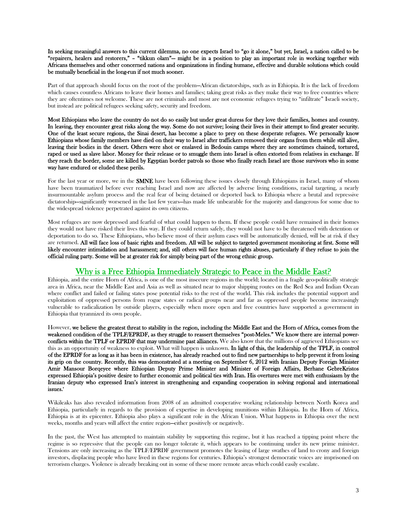In seeking meaningful answers to this current dilemma, no one expects Israel to "go it alone," but yet, Israel, a nation called to be "repairers, healers and restorers," – "tikkun olam"— might be in a position to play an important role in working together with Africans themselves and other concerned nations and organizations in finding humane, effective and durable solutions which could be mutually beneficial in the long-run if not much sooner.

Part of that approach should focus on the root of the problem—African dictatorships, such as in Ethiopia. It is the lack of freedom which causes countless Africans to leave their homes and families; taking great risks as they make their way to free countries where they are oftentimes not welcome. These are not criminals and most are not economic refugees trying to "infiltrate" Israeli society, but instead are political refugees seeking safety, security and freedom.

Most Ethiopians who leave the country do not do so easily but under great duress for they love their families, homes and country. In leaving, they encounter great risks along the way. Some do not survive; losing their lives in their attempt to find greater security. One of the least secure regions, the Sinai desert, has become a place to prey on these desperate refugees. We personally know Ethiopians whose family members have died on their way to Israel after traffickers removed their organs from them while still alive, leaving their bodies in the desert. Others were shot or enslaved in Bedouin camps where they are sometimes chained, tortured, raped or used as slave labor. Money for their release or to smuggle them into Israel is often extorted from relatives in exchange. If they reach the border, some are killed by Egyptian border patrols so those who finally reach Israel are those survivors who in some way have endured or eluded these perils.

For the last year or more, we in the **SMNE** have been following these issues closely through Ethiopians in Israel, many of whom have been traumatized before ever reaching Israel and now are affected by adverse living conditions, racial targeting, a nearly insurmountable asylum process and the real fear of being detained or deported back to Ethiopia where a brutal and repressive dictatorship—significantly worsened in the last few years—has made life unbearable for the majority and dangerous for some due to the widespread violence perpetrated against its own citizens.

Most refugees are now depressed and fearful of what could happen to them. If these people could have remained in their homes they would not have risked their lives this way. If they could return safely, they would not have to be threatened with detention or deportation to do so. These Ethiopians, who believe most of their asylum cases will be automatically denied, will be at risk if they are returned. All will face loss of basic rights and freedom. All will be subject to targeted government monitoring at first. Some will likely encounter intimidation and harassment; and, still others will face human rights abuses, particularly if they refuse to join the official ruling party. Some will be at greater risk for simply being part of the wrong ethnic group.

# Why is a Free Ethiopia Immediately Strategic to Peace in the Middle East?

Ethiopia, and the entire Horn of Africa, is one of the most insecure regions in the world; located in a fragile geo-politically strategic area in Africa, near the Middle East and Asia as well as situated near to major shipping routes on the Red Sea and Indian Ocean where conflict and failed or failing states pose potential risks to the rest of the world. This risk includes the potential support and exploitation of oppressed persons from rogue states or radical groups near and far as oppressed people become increasingly vulnerable to radicalization by outside players, especially when more open and free countries have supported a government in Ethiopia that tyrannized its own people.

However, we believe the greatest threat to stability in the region, including the Middle East and the Horn of Africa, comes from the weakened condition of the TPLF/EPRDF, as they struggle to reassert themselves "post-Meles." We know there are internal powerconflicts within the TPLF or EPRDF that may undermine past alliances. We also know that the millions of aggrieved Ethiopians see this as an opportunity of weakness to exploit. What will happen is unknown. In light of this, the leadership of the TPLF, in control of the EPRDF for as long as it has been in existence, has already reached out to find new partnerships to help prevent it from losing its grip on the country. Recently, this was demonstrated at a meeting on September 6, 2012 with Iranian Deputy Foreign Minister Amir Mansour Borqeyee where Ethiopian Deputy Prime Minister and Minister of Foreign Affairs, Berhane GebreKristos expressed Ethiopia's positive desire to further economic and political ties with Iran. His overtures were met with enthusiasm by the Iranian deputy who expressed Iran's interest in strengthening and expanding cooperation in solving regional and international issues.\*

Wikileaks has also revealed information from 2008 of an admitted cooperative working relationship between North Korea and Ethiopia, particularly in regards to the provision of expertise in developing munitions within Ethiopia. In the Horn of Africa, Ethiopia is at its epicenter. Ethiopia also plays a significant role in the African Union. What happens in Ethiopia over the next weeks, months and years will affect the entire region—either positively or negatively.

In the past, the West has attempted to maintain stability by supporting this regime, but it has reached a tipping point where the regime is so repressive that the people can no longer tolerate it, which appears to be continuing under its new prime minister. Tensions are only increasing as the TPLF/EPRDF government promotes the leasing of large swathes of land to crony and foreign investors, displacing people who have lived in these regions for centuries. Ethiopia's strongest democratic voices are imprisoned on terrorism charges. Violence is already breaking out in some of these more remote areas which could easily escalate.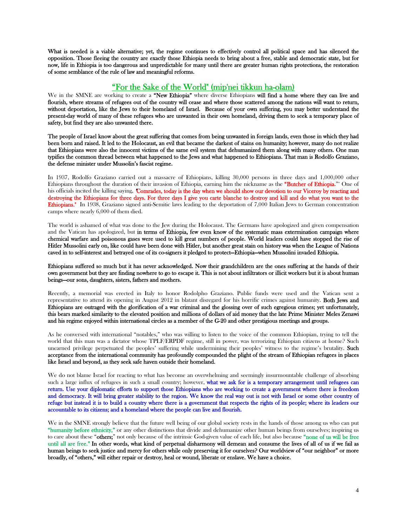What is needed is a viable alternative; yet, the regime continues to effectively control all political space and has silenced the opposition. Those fleeing the country are exactly those Ethiopia needs to bring about a free, stable and democratic state, but for now, life in Ethiopia is too dangerous and unpredictable for many until there are greater human rights protections, the restoration of some semblance of the rule of law and meaningful reforms.

### "For the Sake of the World" (mip'nei tikkun ha-olam)

We in the SMNE are working to create a "New Ethiopia" where diverse Ethiopians will find a home where they can live and flourish, where streams of refugees out of the country will cease and where those scattered among the nations will want to return, without deportation, like the Jews to their homeland of Israel. Because of your own suffering, you may better understand the present-day world of many of these refugees who are unwanted in their own homeland, driving them to seek a temporary place of safety, but find they are also unwanted there.

The people of Israel know about the great suffering that comes from being unwanted in foreign lands, even those in which they had been born and raised. It led to the Holocaust, an evil that became the darkest of stains on humanity; however, many do not realize that Ethiopians were also the innocent victims of the same evil system that dehumanized them along with many others. One man typifies the common thread between what happened to the Jews and what happened to Ethiopians. That man is Rodolfo Graziano, the defense minister under Mussolin's fascist regime.

In 1937, Rodolfo Graziano carried out a massacre of Ethiopians, killing 30,000 persons in three days and 1,000,000 other Ethiopians throughout the duration of their invasion of Ethiopia, earning him the nickname as the "Butcher of Ethiopia." One of his officials incited the killing saying, "Comrades, today is the day when we should show our devotion to our Viceroy by reacting and destroying the Ethiopians for three days. For three days I give you carte blanche to destroy and kill and do what you want to the Ethiopians." In 1938, Graziano signed anti-Semitic laws leading to the deportation of 7,000 Italian Jews to German concentration camps where nearly 6,000 of them died.

The world is ashamed of what was done to the Jew during the Holocaust. The Germans have apologized and given compensation and the Vatican has apologized, but in terms of Ethiopia, few even know of the systematic mass extermination campaign where chemical warfare and poisonous gases were used to kill great numbers of people. World leaders could have stopped the rise of Hitler Mussolini early on, like could have been done with Hitler, but another great stain on history was when the League of Nations caved in to self-interest and betrayed one of its co-signers it pledged to protect—Ethiopia—when Mussolini invaded Ethiopia.

Ethiopians suffered so much but it has never acknowledged. Now their grandchildren are the ones suffering at the hands of their own government but they are finding nowhere to go to escape it. This is not about infiltrators or illicit workers but it is about human beings—our sons, daughters, sisters, fathers and mothers.

Recently, a memorial was erected in Italy to honor Rodolpho Graziano. Public funds were used and the Vatican sent a representative to attend its opening in August 2012 in blatant disregard for his horrific crimes against humanity. Both Jews and Ethiopians are outraged with the glorification of a war criminal and the glossing over of such egregious crimes; yet unfortunately, this bears marked similarity to the elevated position and millions of dollars of aid money that the late Prime Minister Meles Zenawi and his regime enjoyed within international circles as a member of the G-20 and other prestigious meetings and groups.

As he conversed with international "notables," who was willing to listen to the voice of the common Ethiopian, trying to tell the world that this man was a dictator whose TPLF/ERPDF regime, still in power, was terrorizing Ethiopian citizens at home? Such unearned privilege perpetuated the peoples' suffering while undermining their peoples' witness to the regime's brutality. Such acceptance from the international community has profoundly compounded the plight of the stream of Ethiopian refugees in places like Israel and beyond, as they seek safe haven outside their homeland.

We do not blame Israel for reacting to what has become an overwhelming and seemingly insurmountable challenge of absorbing such a large influx of refugees in such a small country; however, what we ask for is a temporary arrangement until refugees can return. Use your diplomatic efforts to support those Ethiopians who are working to create a government where there is freedom and democracy. It will bring greater stability to the region. We know the real way out is not with Israel or some other country of refuge but instead it is to build a country where there is a government that respects the rights of its people; where its leaders our accountable to its citizens; and a homeland where the people can live and flourish.

We in the SMNE strongly believe that the future well being of our global society rests in the hands of those among us who can put "humanity before ethnicity," or any other distinctions that divide and dehumanize other human beings from ourselves; inspiring us to care about these "others;" not only because of the intrinsic God-given value of each life, but also because "none of us will be free until all are free." In other words, what kind of perpetual disharmony will demean and consume the lives of all of us if we fail as human beings to seek justice and mercy for others while only preserving it for ourselves? Our worldview of "our neighbor" or more broadly, of "others," will either repair or destroy, heal or wound, liberate or enslave. We have a choice.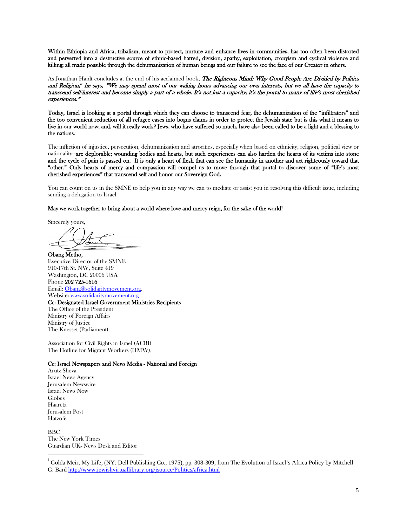Within Ethiopia and Africa, tribalism, meant to protect, nurture and enhance lives in communities, has too often been distorted and perverted into a destructive source of ethnic-based hatred, division, apathy, exploitation, cronyism and cyclical violence and killing; all made possible through the dehumanization of human beings and our failure to see the face of our Creator in others.

As Jonathan Haidt concludes at the end of his acclaimed book, The Righteous Mind: Why Good People Are Divided by Politics and Religion," he says, "We may spend most of our waking hours advancing our own interests, but we all have the capacity to transcend self-interest and become simply a part of a whole. It's not just a capacity; it's the portal to many of life's most cherished experiences."

Today, Israel is looking at a portal through which they can choose to transcend fear, the dehumanization of the "infiltrators" and the too convenient reduction of all refugee cases into bogus claims in order to protect the Jewish state but is this what it means to live in our world now; and, will it really work? Jews, who have suffered so much, have also been called to be a light and a blessing to the nations.

The infliction of injustice, persecution, dehumanization and atrocities, especially when based on ethnicity, religion, political view or nationality—are deplorable; wounding bodies and hearts, but such experiences can also harden the hearts of its victims into stone and the cycle of pain is passed on. It is only a heart of flesh that can see the humanity in another and act righteously toward that "other." Only hearts of mercy and compassion will compel us to move through that portal to discover some of "life's most cherished experiences" that transcend self and honor our Sovereign God.

You can count on us in the SMNE to help you in any way we can to mediate or assist you in resolving this difficult issue, including sending a delegation to Israel.

May we work together to bring about a world where love and mercy reign, for the sake of the world!

Sincerely yours,

Obang Metho, Executive Director of the SMNE 910-17th St. NW, Suite 419 Washington, DC 20006 USA Phone 202 725-1616 Email: Obang@solidaritymovement.org. Website: www.solidaritymovement.org Cc: Designated Israel Government Ministries Recipients The Office of the President Ministry of Foreign Affairs Ministry of Justice The Knesset (Parliament)

Association for Civil Rights in Israel (ACRI) The Hotline for Migrant Workers (HMW),

#### Cc: Israel Newspapers and News Media - National and Foreign

Arutz Sheva Israel News Agency Jerusalem Newswire Israel News Now Globes Haaretz Jerusalem Post Hatzofe

 $\overline{a}$ 

**BBC** The New York Times Guardian UK- News Desk and Editor

<sup>i</sup> Golda Meir, My Life, (NY: Dell Publishing Co., 1975), pp. 308-309; from The Evolution of Israel's Africa Policy by Mitchell G. Bard http://www.jewishvirtuallibrary.org/jsource/Politics/africa.html